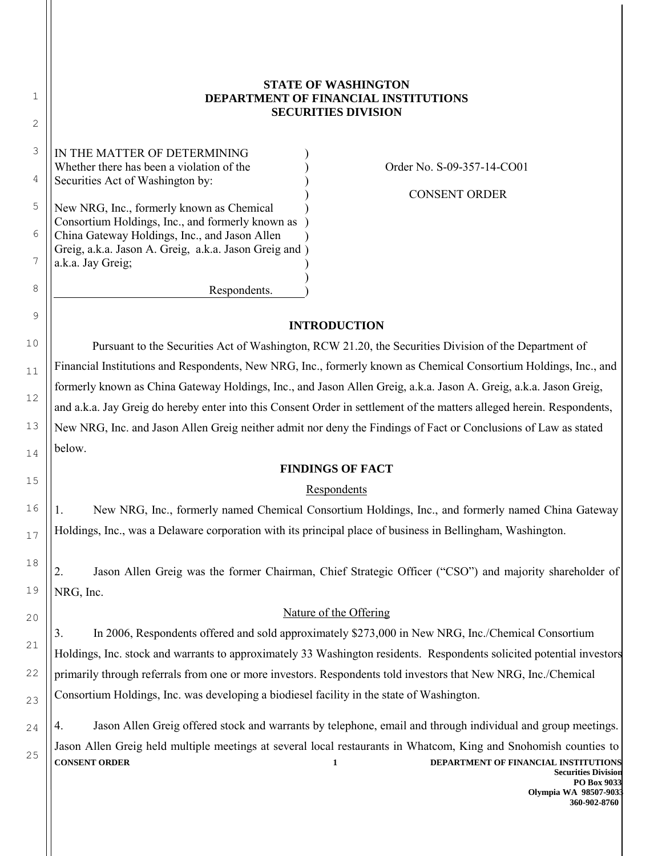# **STATE OF WASHINGTON DEPARTMENT OF FINANCIAL INSTITUTIONS SECURITIES DIVISION**

6 IN THE MATTER OF DETERMINING Whether there has been a violation of the Securities Act of Washington by: New NRG, Inc., formerly known as Chemical Consortium Holdings, Inc., and formerly known as China Gateway Holdings, Inc., and Jason Allen Greig, a.k.a. Jason A. Greig, a.k.a. Jason Greig and ) a.k.a. Jay Greig; Respondents. ) ) ) ) ) ) ) ) ) )

1

2

3

4

5

7

8

9

10

11

12

13

14

15

16

17

18

19

20

21

22

23

24

25

Order No. S-09-357-14-CO01

CONSENT ORDER

# **INTRODUCTION**

 Pursuant to the Securities Act of Washington, RCW 21.20, the Securities Division of the Department of Financial Institutions and Respondents, New NRG, Inc., formerly known as Chemical Consortium Holdings, Inc., and formerly known as China Gateway Holdings, Inc., and Jason Allen Greig, a.k.a. Jason A. Greig, a.k.a. Jason Greig, and a.k.a. Jay Greig do hereby enter into this Consent Order in settlement of the matters alleged herein. Respondents, New NRG, Inc. and Jason Allen Greig neither admit nor deny the Findings of Fact or Conclusions of Law as stated below.

# **FINDINGS OF FACT**

# Respondents

1. New NRG, Inc., formerly named Chemical Consortium Holdings, Inc., and formerly named China Gateway Holdings, Inc., was a Delaware corporation with its principal place of business in Bellingham, Washington.

2. Jason Allen Greig was the former Chairman, Chief Strategic Officer ("CSO") and majority shareholder of NRG, Inc.

# Nature of the Offering

3. In 2006, Respondents offered and sold approximately \$273,000 in New NRG, Inc./Chemical Consortium Holdings, Inc. stock and warrants to approximately 33 Washington residents. Respondents solicited potential investors primarily through referrals from one or more investors. Respondents told investors that New NRG, Inc./Chemical Consortium Holdings, Inc. was developing a biodiesel facility in the state of Washington.

**CONSENT ORDER 1 DEPARTMENT OF FINANCIAL INSTITUTIONS** 4. Jason Allen Greig offered stock and warrants by telephone, email and through individual and group meetings. Jason Allen Greig held multiple meetings at several local restaurants in Whatcom, King and Snohomish counties to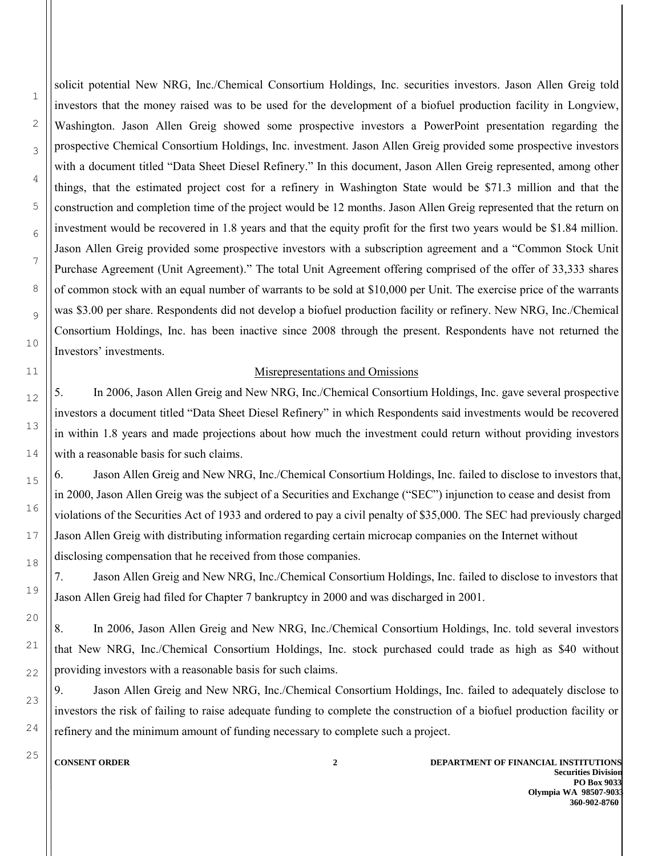solicit potential New NRG, Inc./Chemical Consortium Holdings, Inc. securities investors. Jason Allen Greig told investors that the money raised was to be used for the development of a biofuel production facility in Longview, Washington. Jason Allen Greig showed some prospective investors a PowerPoint presentation regarding the prospective Chemical Consortium Holdings, Inc. investment. Jason Allen Greig provided some prospective investors with a document titled "Data Sheet Diesel Refinery." In this document, Jason Allen Greig represented, among other things, that the estimated project cost for a refinery in Washington State would be \$71.3 million and that the construction and completion time of the project would be 12 months. Jason Allen Greig represented that the return on investment would be recovered in 1.8 years and that the equity profit for the first two years would be \$1.84 million. Jason Allen Greig provided some prospective investors with a subscription agreement and a "Common Stock Unit Purchase Agreement (Unit Agreement)." The total Unit Agreement offering comprised of the offer of 33,333 shares of common stock with an equal number of warrants to be sold at \$10,000 per Unit. The exercise price of the warrants was \$3.00 per share. Respondents did not develop a biofuel production facility or refinery. New NRG, Inc./Chemical Consortium Holdings, Inc. has been inactive since 2008 through the present. Respondents have not returned the Investors' investments.

## Misrepresentations and Omissions

5. In 2006, Jason Allen Greig and New NRG, Inc./Chemical Consortium Holdings, Inc. gave several prospective investors a document titled "Data Sheet Diesel Refinery" in which Respondents said investments would be recovered in within 1.8 years and made projections about how much the investment could return without providing investors with a reasonable basis for such claims.

6. Jason Allen Greig and New NRG, Inc./Chemical Consortium Holdings, Inc. failed to disclose to investors that, in 2000, Jason Allen Greig was the subject of a Securities and Exchange ("SEC") injunction to cease and desist from violations of the Securities Act of 1933 and ordered to pay a civil penalty of \$35,000. The SEC had previously charged Jason Allen Greig with distributing information regarding certain microcap companies on the Internet without disclosing compensation that he received from those companies.

7. Jason Allen Greig and New NRG, Inc./Chemical Consortium Holdings, Inc. failed to disclose to investors that Jason Allen Greig had filed for Chapter 7 bankruptcy in 2000 and was discharged in 2001.

8. In 2006, Jason Allen Greig and New NRG, Inc./Chemical Consortium Holdings, Inc. told several investors that New NRG, Inc./Chemical Consortium Holdings, Inc. stock purchased could trade as high as \$40 without providing investors with a reasonable basis for such claims.

9. Jason Allen Greig and New NRG, Inc./Chemical Consortium Holdings, Inc. failed to adequately disclose to investors the risk of failing to raise adequate funding to complete the construction of a biofuel production facility or refinery and the minimum amount of funding necessary to complete such a project.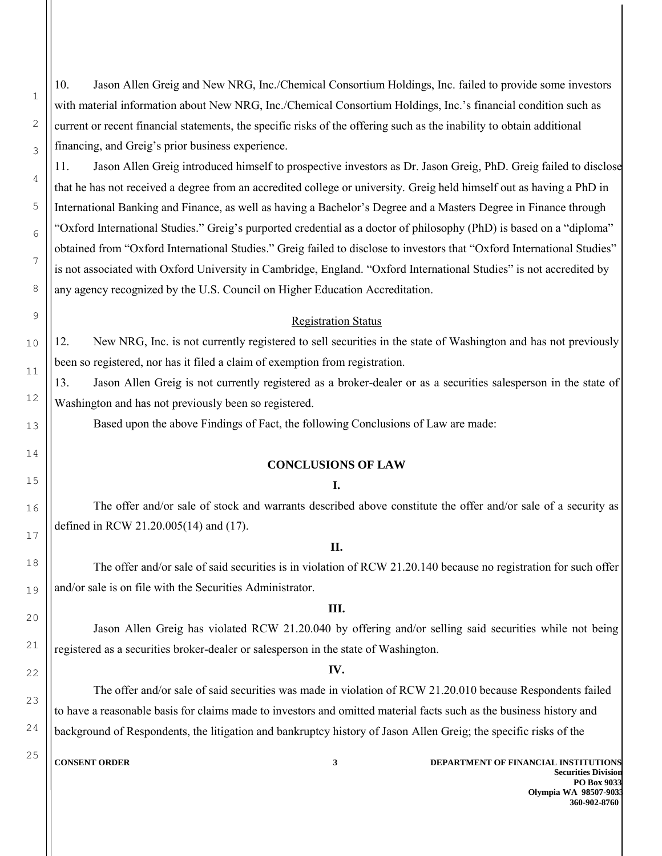10. Jason Allen Greig and New NRG, Inc./Chemical Consortium Holdings, Inc. failed to provide some investors with material information about New NRG, Inc./Chemical Consortium Holdings, Inc.'s financial condition such as current or recent financial statements, the specific risks of the offering such as the inability to obtain additional financing, and Greig's prior business experience.

11. Jason Allen Greig introduced himself to prospective investors as Dr. Jason Greig, PhD. Greig failed to disclose that he has not received a degree from an accredited college or university. Greig held himself out as having a PhD in International Banking and Finance, as well as having a Bachelor's Degree and a Masters Degree in Finance through "Oxford International Studies." Greig's purported credential as a doctor of philosophy (PhD) is based on a "diploma" obtained from "Oxford International Studies." Greig failed to disclose to investors that "Oxford International Studies" is not associated with Oxford University in Cambridge, England. "Oxford International Studies" is not accredited by any agency recognized by the U.S. [Council on Higher Education Accreditation.](http://en.wikipedia.org/wiki/Council_on_Higher_Education_Accreditation)

## Registration Status

12. New NRG, Inc. is not currently registered to sell securities in the state of Washington and has not previously been so registered, nor has it filed a claim of exemption from registration.

13. Jason Allen Greig is not currently registered as a broker-dealer or as a securities salesperson in the state of Washington and has not previously been so registered.

Based upon the above Findings of Fact, the following Conclusions of Law are made:

## **CONCLUSIONS OF LAW**

#### **I.**

 The offer and/or sale of stock and warrants described above constitute the offer and/or sale of a security as defined in RCW 21.20.005(14) and (17).

### **II.**

 The offer and/or sale of said securities is in violation of RCW 21.20.140 because no registration for such offer and/or sale is on file with the Securities Administrator.

#### **III.**

 Jason Allen Greig has violated RCW 21.20.040 by offering and/or selling said securities while not being registered as a securities broker-dealer or salesperson in the state of Washington.

## **IV.**

 The offer and/or sale of said securities was made in violation of RCW 21.20.010 because Respondents failed to have a reasonable basis for claims made to investors and omitted material facts such as the business history and background of Respondents, the litigation and bankruptcy history of Jason Allen Greig; the specific risks of the

1

2

3

4

5

6

7

8

9

10

11

12

13

14

15

16

17

18

19

20

21

22

23

24

25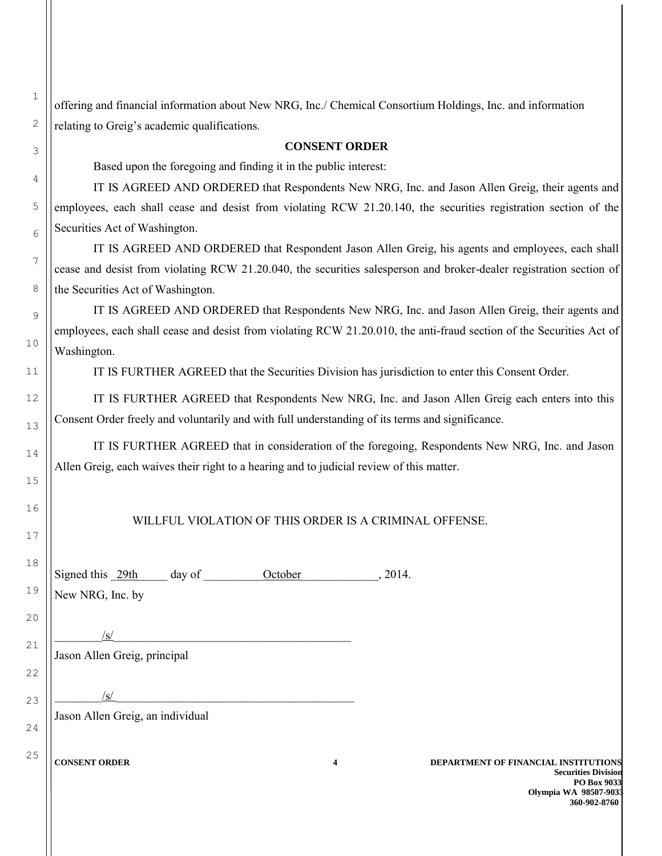offering and financial information about New NRG, Inc./ Chemical Consortium Holdings, Inc. and information relating to Greig's academic qualifications.

#### **CONSENT ORDER**

Based upon the foregoing and finding it in the public interest:

 IT IS AGREED AND ORDERED that Respondents New NRG, Inc. and Jason Allen Greig, their agents and employees, each shall cease and desist from violating RCW 21.20.140, the securities registration section of the Securities Act of Washington.

 IT IS AGREED AND ORDERED that Respondent Jason Allen Greig, his agents and employees, each shall cease and desist from violating RCW 21.20.040, the securities salesperson and broker-dealer registration section of the Securities Act of Washington.

 IT IS AGREED AND ORDERED that Respondents New NRG, Inc. and Jason Allen Greig, their agents and employees, each shall cease and desist from violating RCW 21.20.010, the anti-fraud section of the Securities Act of Washington.

IT IS FURTHER AGREED that the Securities Division has jurisdiction to enter this Consent Order.

 IT IS FURTHER AGREED that Respondents New NRG, Inc. and Jason Allen Greig each enters into this Consent Order freely and voluntarily and with full understanding of its terms and significance.

 IT IS FURTHER AGREED that in consideration of the foregoing, Respondents New NRG, Inc. and Jason Allen Greig, each waives their right to a hearing and to judicial review of this matter.

### WILLFUL VIOLATION OF THIS ORDER IS A CRIMINAL OFFENSE.

24

25

1

2

3

4

5

6

7

8

9

10

11

12

13

14

15

16

| Signed this 29th                 | day of | October |   | , 2014. |              |
|----------------------------------|--------|---------|---|---------|--------------|
| New NRG, Inc. by                 |        |         |   |         |              |
|                                  |        |         |   |         |              |
| /s/                              |        |         |   |         |              |
| Jason Allen Greig, principal     |        |         |   |         |              |
|                                  |        |         |   |         |              |
| /s/                              |        |         |   |         |              |
| Jason Allen Greig, an individual |        |         |   |         |              |
|                                  |        |         |   |         |              |
| <b>CONSENT ORDER</b>             |        |         | 4 |         | <b>DEPAR</b> |
|                                  |        |         |   |         |              |